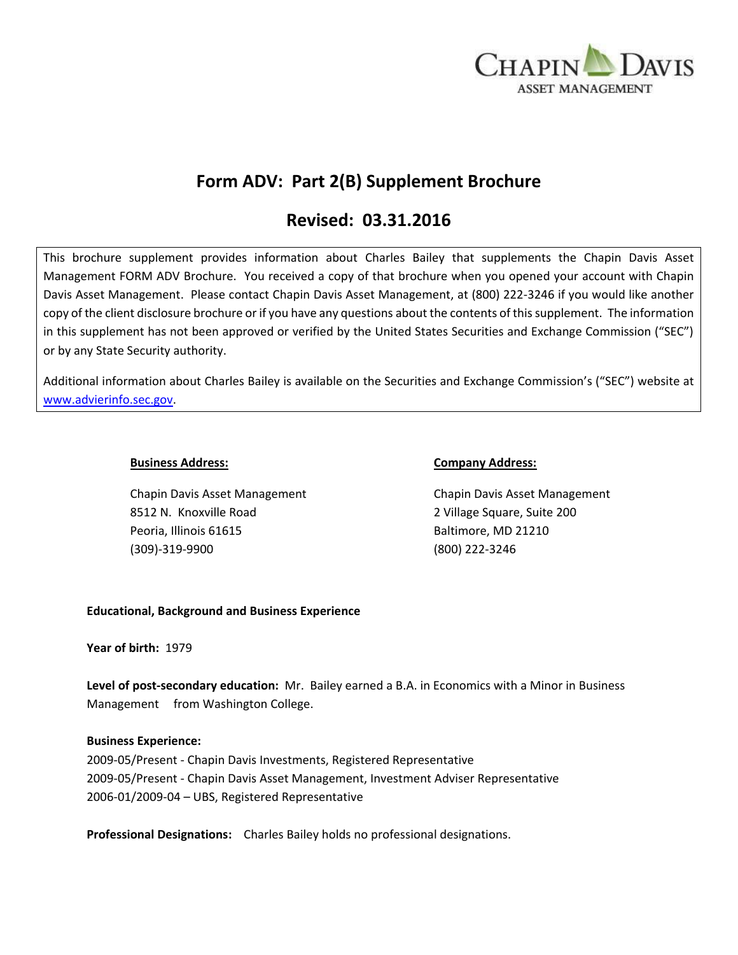

# **Form ADV: Part 2(B) Supplement Brochure**

# **Revised: 03.31.2016**

This brochure supplement provides information about Charles Bailey that supplements the Chapin Davis Asset Management FORM ADV Brochure. You received a copy of that brochure when you opened your account with Chapin Davis Asset Management. Please contact Chapin Davis Asset Management, at (800) 222-3246 if you would like another copy of the client disclosure brochure or if you have any questions about the contents of this supplement. The information in this supplement has not been approved or verified by the United States Securities and Exchange Commission ("SEC") or by any State Security authority.

Additional information about Charles Bailey is available on the Securities and Exchange Commission's ("SEC") website at [www.advierinfo.sec.gov.](http://www.advierinfo.sec.gov/)

Chapin Davis Asset Management Chapin Davis Asset Management 8512 N. Knoxville Road 2 Village Square, Suite 200 Peoria, Illinois 61615 Baltimore, MD 21210 (309)-319-9900 (800) 222-3246

### **Business Address: Company Address:**

# **Educational, Background and Business Experience**

#### **Year of birth:** 1979

**Level of post-secondary education:** Mr. Bailey earned a B.A. in Economics with a Minor in Business Management from Washington College.

# **Business Experience:**

2009-05/Present - Chapin Davis Investments, Registered Representative 2009-05/Present - Chapin Davis Asset Management, Investment Adviser Representative 2006-01/2009-04 – UBS, Registered Representative

**Professional Designations:** Charles Bailey holds no professional designations.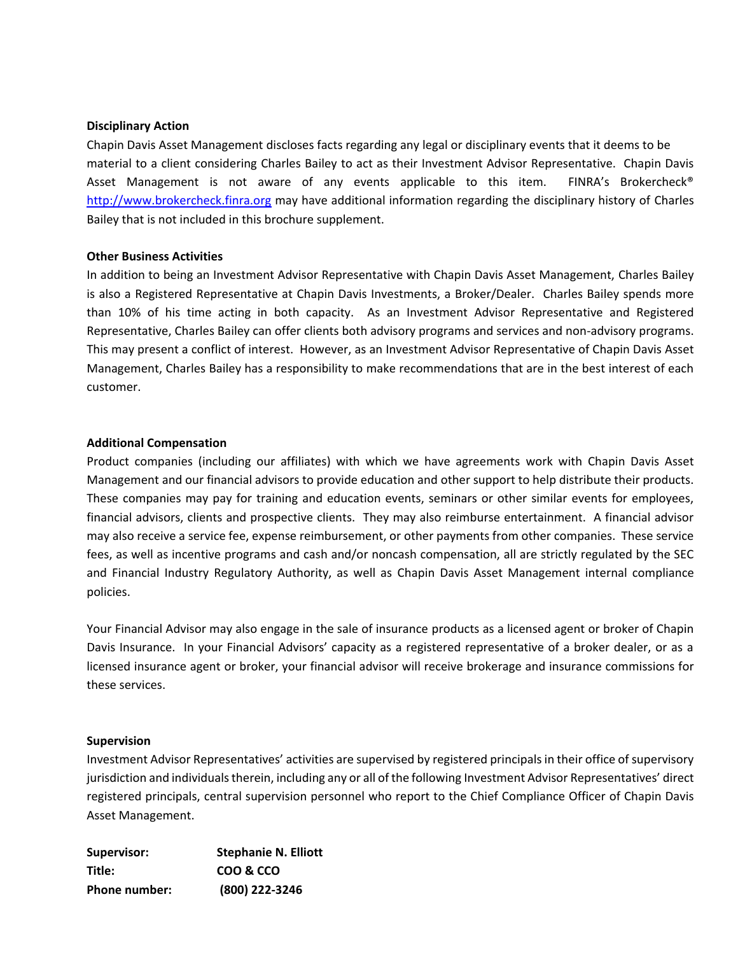### **Disciplinary Action**

Chapin Davis Asset Management discloses facts regarding any legal or disciplinary events that it deems to be material to a client considering Charles Bailey to act as their Investment Advisor Representative. Chapin Davis Asset Management is not aware of any events applicable to this item. FINRA's Brokercheck® [http://www.brokercheck.finra.org](http://www.brokercheck.finra.org/) may have additional information regarding the disciplinary history of Charles Bailey that is not included in this brochure supplement.

### **Other Business Activities**

In addition to being an Investment Advisor Representative with Chapin Davis Asset Management, Charles Bailey is also a Registered Representative at Chapin Davis Investments, a Broker/Dealer. Charles Bailey spends more than 10% of his time acting in both capacity. As an Investment Advisor Representative and Registered Representative, Charles Bailey can offer clients both advisory programs and services and non-advisory programs. This may present a conflict of interest. However, as an Investment Advisor Representative of Chapin Davis Asset Management, Charles Bailey has a responsibility to make recommendations that are in the best interest of each customer.

### **Additional Compensation**

Product companies (including our affiliates) with which we have agreements work with Chapin Davis Asset Management and our financial advisors to provide education and other support to help distribute their products. These companies may pay for training and education events, seminars or other similar events for employees, financial advisors, clients and prospective clients. They may also reimburse entertainment. A financial advisor may also receive a service fee, expense reimbursement, or other payments from other companies. These service fees, as well as incentive programs and cash and/or noncash compensation, all are strictly regulated by the SEC and Financial Industry Regulatory Authority, as well as Chapin Davis Asset Management internal compliance policies.

Your Financial Advisor may also engage in the sale of insurance products as a licensed agent or broker of Chapin Davis Insurance. In your Financial Advisors' capacity as a registered representative of a broker dealer, or as a licensed insurance agent or broker, your financial advisor will receive brokerage and insurance commissions for these services.

#### **Supervision**

Investment Advisor Representatives' activities are supervised by registered principals in their office of supervisory jurisdiction and individuals therein, including any or all of the following Investment Advisor Representatives' direct registered principals, central supervision personnel who report to the Chief Compliance Officer of Chapin Davis Asset Management.

| Supervisor:          | <b>Stephanie N. Elliott</b> |
|----------------------|-----------------------------|
| Title:               | COO & CCO                   |
| <b>Phone number:</b> | (800) 222-3246              |